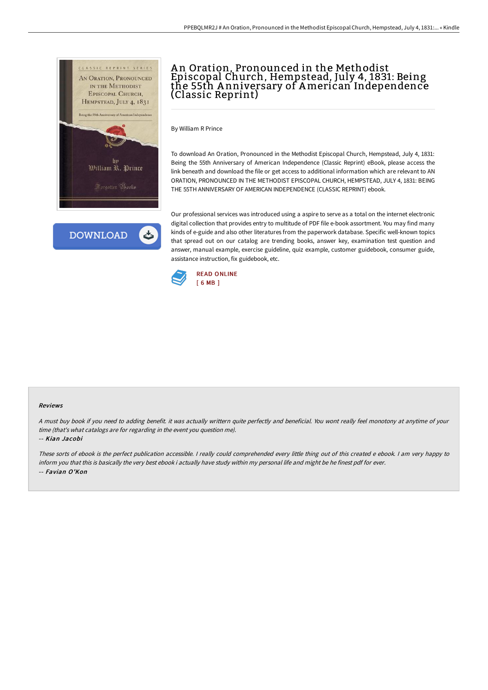

**DOWNLOAD** 

# An Oration, Pronounced in the Methodist Episcopal Church, Hempstead, July 4, 1831: Being the 55th A nniversary of American Independence (Classic Reprint)

By William R Prince

To download An Oration, Pronounced in the Methodist Episcopal Church, Hempstead, July 4, 1831: Being the 55th Anniversary of American Independence (Classic Reprint) eBook, please access the link beneath and download the file or get access to additional information which are relevant to AN ORATION, PRONOUNCED IN THE METHODIST EPISCOPAL CHURCH, HEMPSTEAD, JULY 4, 1831: BEING THE 55TH ANNIVERSARY OF AMERICAN INDEPENDENCE (CLASSIC REPRINT) ebook.

Our professional services was introduced using a aspire to serve as a total on the internet electronic digital collection that provides entry to multitude of PDF file e-book assortment. You may find many kinds of e-guide and also other literatures from the paperwork database. Specific well-known topics that spread out on our catalog are trending books, answer key, examination test question and answer, manual example, exercise guideline, quiz example, customer guidebook, consumer guide, assistance instruction, fix guidebook, etc.



#### Reviews

<sup>A</sup> must buy book if you need to adding benefit. it was actually writtern quite perfectly and beneficial. You wont really feel monotony at anytime of your time (that's what catalogs are for regarding in the event you question me).

-- Kian Jacobi

These sorts of ebook is the perfect publication accessible. <sup>I</sup> really could comprehended every little thing out of this created <sup>e</sup> ebook. <sup>I</sup> am very happy to inform you that this is basically the very best ebook i actually have study within my personal life and might be he finest pdf for ever. -- Favian O'Kon